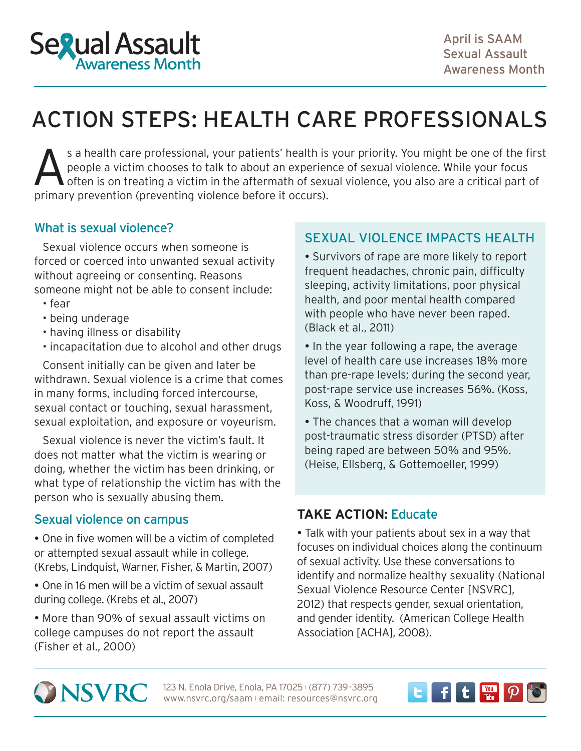

# ACTION STEPS: HEALTH CARE PROFESSIONALS

S a health care professional, your patients' health is your priority. You might be one of the first people a victim chooses to talk to about an experience of sexual violence. While your focus of often is on treating a vict people a victim chooses to talk to about an experience of sexual violence. While your focus primary prevention (preventing violence before it occurs).

## What is sexual violence?

Sexual violence occurs when someone is forced or coerced into unwanted sexual activity without agreeing or consenting. Reasons someone might not be able to consent include:

- fear
- being underage
- having illness or disability
- incapacitation due to alcohol and other drugs

Consent initially can be given and later be withdrawn. Sexual violence is a crime that comes in many forms, including forced intercourse, sexual contact or touching, sexual harassment, sexual exploitation, and exposure or voyeurism.

Sexual violence is never the victim's fault. It does not matter what the victim is wearing or doing, whether the victim has been drinking, or what type of relationship the victim has with the person who is sexually abusing them.

## Sexual violence on campus

 One in five women will be a victim of completed or attempted sexual assault while in college. (Krebs, Lindquist, Warner, Fisher, & Martin, 2007)

 One in 16 men will be a victim of sexual assault during college. (Krebs et al., 2007)

 More than 90% of sexual assault victims on college campuses do not report the assault (Fisher et al., 2000)

## SEXUAL VIOLENCE IMPACTS HEALTH

 Survivors of rape are more likely to report frequent headaches, chronic pain, difficulty sleeping, activity limitations, poor physical health, and poor mental health compared with people who have never been raped. (Black et al., 2011)

• In the year following a rape, the average level of health care use increases 18% more than pre-rape levels; during the second year, post-rape service use increases 56%. (Koss, Koss, & Woodruff, 1991)

 The chances that a woman will develop post-traumatic stress disorder (PTSD) after being raped are between 50% and 95%. (Heise, Ellsberg, & Gottemoeller, 1999)

## **TAKE ACTION:** Educate

 Talk with your patients about sex in a way that focuses on individual choices along the continuum of sexual activity. Use these conversations to identify and normalize [healthy sexuality](http://www.nsvrc.org/sites/default/files/SAAM_2012_An-overview-on-healthy-sexuality-and-sexual-violence.pdf) (National Sexual Violence Resource Center [NSVRC], 2012) that respects gender, sexual orientation, and gender identity. (American College Health Association [ACHA], 2008).



123 N. Enola Drive, Enola, PA 17025 (877) 739-3895 www.nsvrc.org/saam l email: resources@nsvrc.org

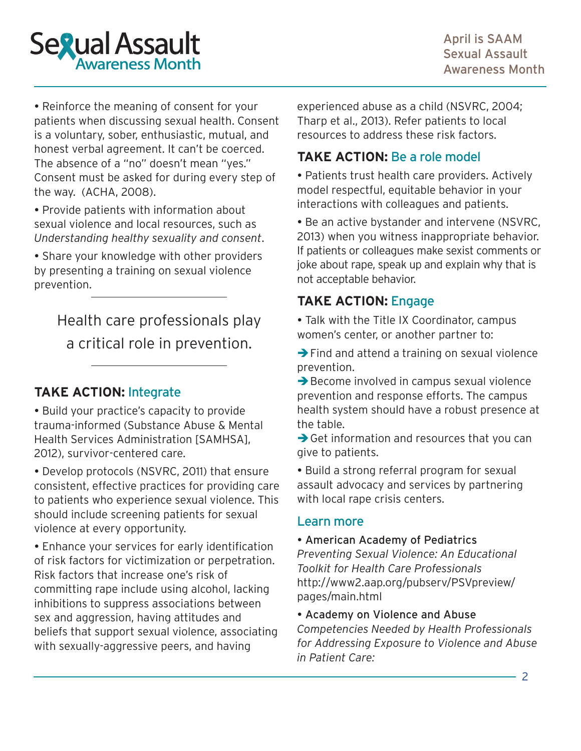

 Reinforce the meaning of consent for your patients when discussing sexual health. Consent is a voluntary, sober, enthusiastic, mutual, and honest verbal agreement. It can't be coerced. The absence of a "no" doesn't mean "yes." Consent must be asked for during every step of the way. (ACHA, 2008).

 Provide patients with information about sexual violence and local resources, such as *Understanding healthy sexuality and consent*.

 Share your knowledge with other providers by presenting a training on sexual violence prevention.

Health care professionals play a critical role in prevention.

# **TAKE ACTION:** Integrate

• Build your practice's capacity to provide [trauma-informed \(Substance Abuse & Mental](http://media.samhsa.gov/traumajustice/traumadefinition/index.aspx)  [Health Services Administration \[SAMHSA\],](http://media.samhsa.gov/traumajustice/traumadefinition/index.aspx)  [2012\)](http://media.samhsa.gov/traumajustice/traumadefinition/index.aspx), survivor-centered care.

 [Develop protocols \(NSVRC, 2011\)](http://www.nsvrc.org/sites/default/files/Publications_NSVRC_Guides_Assessing-patients-for-sexual-violence.pdf) that ensure consistent, effective practices for providing care to patients who experience sexual violence. This should include screening patients for sexual violence at every opportunity.

 Enhance your services for early identification of risk factors for victimization or perpetration. Risk factors that increase one's risk of committing rape include using alcohol, lacking inhibitions to suppress associations between sex and aggression, having attitudes and beliefs that support sexual violence, associating with sexually-aggressive peers, and having

experienced abuse as a child (NSVRC, 2004; Tharp et al., 2013). Refer patients to local resources to address these risk factors.

## **TAKE ACTION:** Be a role model

 Patients trust health care providers. Actively model respectful, equitable behavior in your interactions with colleagues and patients.

 [Be an active bystander and intervene](http://www.nsvrc.org/sites/default/files/publications_nsvrc_bulletin_engaging-bystanders-prevent-sexual-violence_0.pdf) (NSVRC, 2013) when you witness inappropriate behavior. If patients or colleagues make sexist comments or joke about rape, speak up and explain why that is not acceptable behavior.

# **TAKE ACTION:** Engage

 Talk with the Title IX Coordinator, campus women's center, or another partner to:

 $\rightarrow$  Find and attend a training on sexual violence prevention.

 $\rightarrow$  Become involved in campus sexual violence prevention and response efforts. The campus health system should have a robust presence at the table.

 $\rightarrow$  Get information and resources that you can give to patients.

 Build a strong referral program for sexual assault advocacy and services by partnering with local rape crisis centers.

## Learn more

#### American Academy of Pediatrics

*Preventing Sexual Violence: An Educational Toolkit for Health Care Professionals* [http://www2.aap.org/pubserv/PSVpreview/](http://www2.aap.org/pubserv/PSVpreview/pages/main.html) [pages/main.html](http://www2.aap.org/pubserv/PSVpreview/pages/main.html)

Academy on Violence and Abuse

*Competencies Needed by Health Professionals for Addressing Exposure to Violence and Abuse in Patient Care:*

 $\cdot$  2